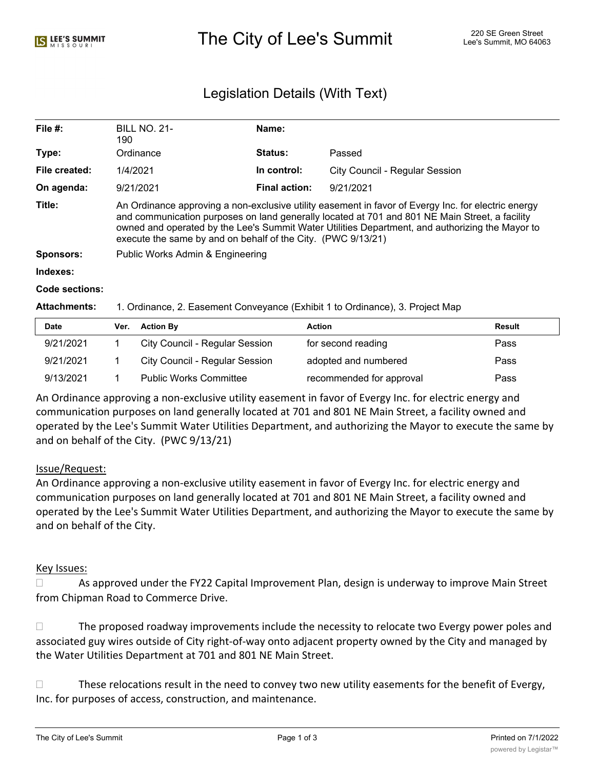# Legislation Details (With Text)

| File $#$ :       | <b>BILL NO. 21-</b>                                                                                                                                                                                                                                                                                                                                                      | Name:                |                                |  |  |
|------------------|--------------------------------------------------------------------------------------------------------------------------------------------------------------------------------------------------------------------------------------------------------------------------------------------------------------------------------------------------------------------------|----------------------|--------------------------------|--|--|
|                  | 190                                                                                                                                                                                                                                                                                                                                                                      |                      |                                |  |  |
| Type:            | Ordinance                                                                                                                                                                                                                                                                                                                                                                | Status:              | Passed                         |  |  |
| File created:    | 1/4/2021                                                                                                                                                                                                                                                                                                                                                                 | In control:          | City Council - Regular Session |  |  |
| On agenda:       | 9/21/2021                                                                                                                                                                                                                                                                                                                                                                | <b>Final action:</b> | 9/21/2021                      |  |  |
| Title:           | An Ordinance approving a non-exclusive utility easement in favor of Evergy Inc. for electric energy<br>and communication purposes on land generally located at 701 and 801 NE Main Street, a facility<br>owned and operated by the Lee's Summit Water Utilities Department, and authorizing the Mayor to<br>execute the same by and on behalf of the City. (PWC 9/13/21) |                      |                                |  |  |
| <b>Sponsors:</b> | Public Works Admin & Engineering                                                                                                                                                                                                                                                                                                                                         |                      |                                |  |  |
| Indexes:         |                                                                                                                                                                                                                                                                                                                                                                          |                      |                                |  |  |
| Code sections:   |                                                                                                                                                                                                                                                                                                                                                                          |                      |                                |  |  |
|                  |                                                                                                                                                                                                                                                                                                                                                                          |                      |                                |  |  |

#### **Attachments:** 1. Ordinance, 2. Easement Conveyance (Exhibit 1 to Ordinance), 3. Project Map

| <b>Date</b> | Ver. | <b>Action By</b>                      | Action                   | Result |
|-------------|------|---------------------------------------|--------------------------|--------|
| 9/21/2021   |      | <b>City Council - Regular Session</b> | for second reading       | Pass   |
| 9/21/2021   |      | <b>City Council - Regular Session</b> | adopted and numbered     | Pass   |
| 9/13/2021   |      | <b>Public Works Committee</b>         | recommended for approval | Pass   |

An Ordinance approving a non-exclusive utility easement in favor of Evergy Inc. for electric energy and communication purposes on land generally located at 701 and 801 NE Main Street, a facility owned and operated by the Lee's Summit Water Utilities Department, and authorizing the Mayor to execute the same by and on behalf of the City. (PWC 9/13/21)

#### Issue/Request:

An Ordinance approving a non-exclusive utility easement in favor of Evergy Inc. for electric energy and communication purposes on land generally located at 701 and 801 NE Main Street, a facility owned and operated by the Lee's Summit Water Utilities Department, and authorizing the Mayor to execute the same by and on behalf of the City.

#### Key Issues:

 $\Box$  As approved under the FY22 Capital Improvement Plan, design is underway to improve Main Street from Chipman Road to Commerce Drive.

 $\Box$  The proposed roadway improvements include the necessity to relocate two Evergy power poles and associated guy wires outside of City right-of-way onto adjacent property owned by the City and managed by the Water Utilities Department at 701 and 801 NE Main Street.

 $\Box$  These relocations result in the need to convey two new utility easements for the benefit of Evergy, Inc. for purposes of access, construction, and maintenance.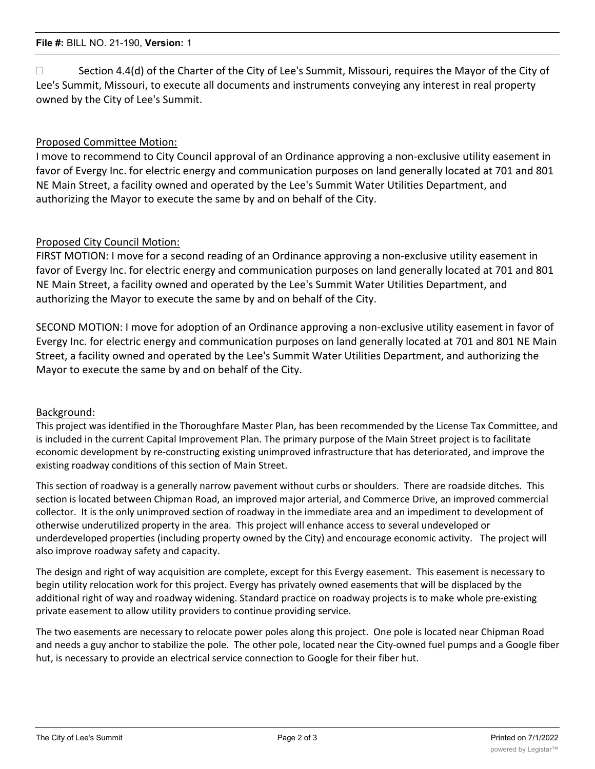$\Box$  Section 4.4(d) of the Charter of the City of Lee's Summit, Missouri, requires the Mayor of the City of Lee's Summit, Missouri, to execute all documents and instruments conveying any interest in real property owned by the City of Lee's Summit.

## Proposed Committee Motion:

I move to recommend to City Council approval of an Ordinance approving a non-exclusive utility easement in favor of Evergy Inc. for electric energy and communication purposes on land generally located at 701 and 801 NE Main Street, a facility owned and operated by the Lee's Summit Water Utilities Department, and authorizing the Mayor to execute the same by and on behalf of the City.

### Proposed City Council Motion:

FIRST MOTION: I move for a second reading of an Ordinance approving a non-exclusive utility easement in favor of Evergy Inc. for electric energy and communication purposes on land generally located at 701 and 801 NE Main Street, a facility owned and operated by the Lee's Summit Water Utilities Department, and authorizing the Mayor to execute the same by and on behalf of the City.

SECOND MOTION: I move for adoption of an Ordinance approving a non-exclusive utility easement in favor of Evergy Inc. for electric energy and communication purposes on land generally located at 701 and 801 NE Main Street, a facility owned and operated by the Lee's Summit Water Utilities Department, and authorizing the Mayor to execute the same by and on behalf of the City.

#### Background:

This project was identified in the Thoroughfare Master Plan, has been recommended by the License Tax Committee, and is included in the current Capital Improvement Plan. The primary purpose of the Main Street project is to facilitate economic development by re-constructing existing unimproved infrastructure that has deteriorated, and improve the existing roadway conditions of this section of Main Street.

This section of roadway is a generally narrow pavement without curbs or shoulders. There are roadside ditches. This section is located between Chipman Road, an improved major arterial, and Commerce Drive, an improved commercial collector. It is the only unimproved section of roadway in the immediate area and an impediment to development of otherwise underutilized property in the area. This project will enhance access to several undeveloped or underdeveloped properties (including property owned by the City) and encourage economic activity. The project will also improve roadway safety and capacity.

The design and right of way acquisition are complete, except for this Evergy easement. This easement is necessary to begin utility relocation work for this project. Evergy has privately owned easements that will be displaced by the additional right of way and roadway widening. Standard practice on roadway projects is to make whole pre-existing private easement to allow utility providers to continue providing service.

The two easements are necessary to relocate power poles along this project. One pole is located near Chipman Road and needs a guy anchor to stabilize the pole. The other pole, located near the City-owned fuel pumps and a Google fiber hut, is necessary to provide an electrical service connection to Google for their fiber hut.